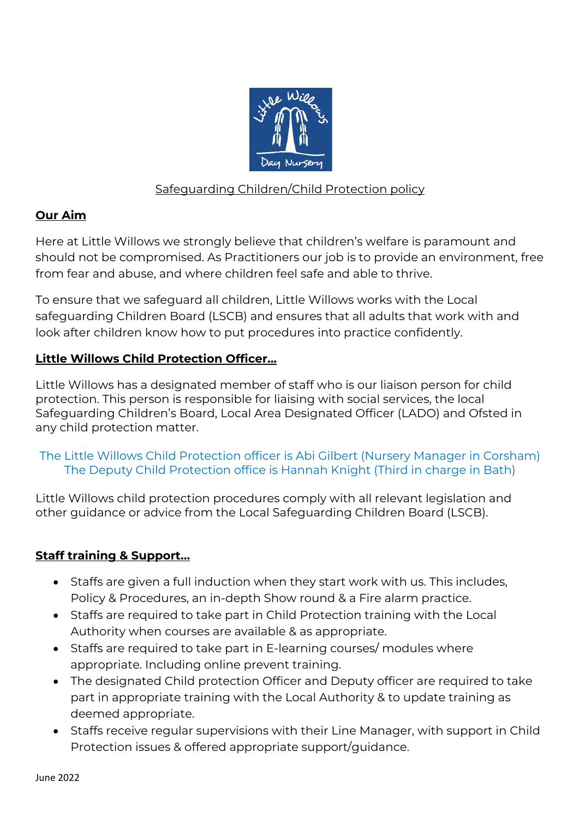

## Safeguarding Children/Child Protection policy

## **Our Aim**

Here at Little Willows we strongly believe that children's welfare is paramount and should not be compromised. As Practitioners our job is to provide an environment, free from fear and abuse, and where children feel safe and able to thrive.

To ensure that we safeguard all children, Little Willows works with the Local safeguarding Children Board (LSCB) and ensures that all adults that work with and look after children know how to put procedures into practice confidently.

# **Little Willows Child Protection Officer…**

Little Willows has a designated member of staff who is our liaison person for child protection. This person is responsible for liaising with social services, the local Safeguarding Children's Board, Local Area Designated Officer (LADO) and Ofsted in any child protection matter.

## The Little Willows Child Protection officer is Abi Gilbert (Nursery Manager in Corsham) The Deputy Child Protection office is Hannah Knight (Third in charge in Bath)

Little Willows child protection procedures comply with all relevant legislation and other guidance or advice from the Local Safeguarding Children Board (LSCB).

# **Staff training & Support…**

- Staffs are given a full induction when they start work with us. This includes, Policy & Procedures, an in-depth Show round & a Fire alarm practice.
- Staffs are required to take part in Child Protection training with the Local Authority when courses are available & as appropriate.
- Staffs are required to take part in E-learning courses/ modules where appropriate. Including online prevent training.
- The designated Child protection Officer and Deputy officer are required to take part in appropriate training with the Local Authority & to update training as deemed appropriate.
- Staffs receive regular supervisions with their Line Manager, with support in Child Protection issues & offered appropriate support/guidance.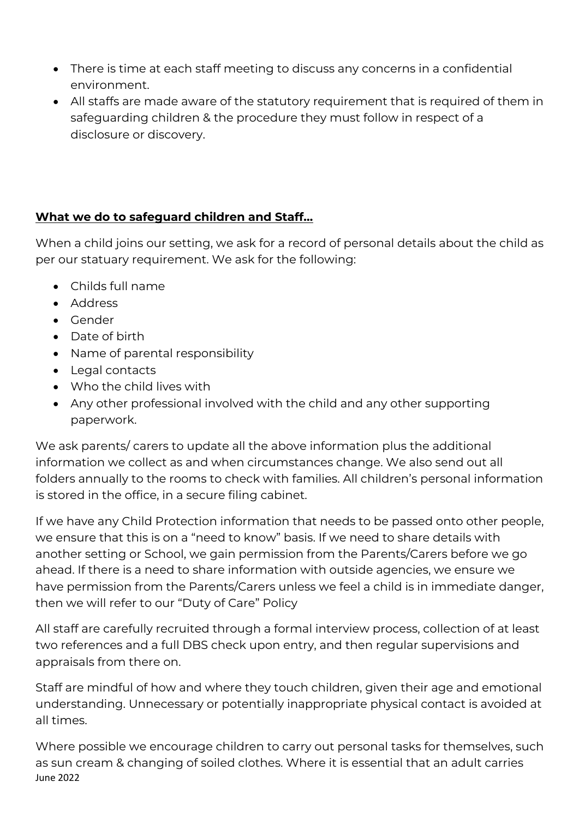- There is time at each staff meeting to discuss any concerns in a confidential environment.
- All staffs are made aware of the statutory requirement that is required of them in safeguarding children & the procedure they must follow in respect of a disclosure or discovery.

# **What we do to safeguard children and Staff…**

When a child joins our setting, we ask for a record of personal details about the child as per our statuary requirement. We ask for the following:

- Childs full name
- Address
- Gender
- Date of birth
- Name of parental responsibility
- Legal contacts
- Who the child lives with
- Any other professional involved with the child and any other supporting paperwork.

We ask parents/ carers to update all the above information plus the additional information we collect as and when circumstances change. We also send out all folders annually to the rooms to check with families. All children's personal information is stored in the office, in a secure filing cabinet.

If we have any Child Protection information that needs to be passed onto other people, we ensure that this is on a "need to know" basis. If we need to share details with another setting or School, we gain permission from the Parents/Carers before we go ahead. If there is a need to share information with outside agencies, we ensure we have permission from the Parents/Carers unless we feel a child is in immediate danger, then we will refer to our "Duty of Care" Policy

All staff are carefully recruited through a formal interview process, collection of at least two references and a full DBS check upon entry, and then regular supervisions and appraisals from there on.

Staff are mindful of how and where they touch children, given their age and emotional understanding. Unnecessary or potentially inappropriate physical contact is avoided at all times.

June 2022 Where possible we encourage children to carry out personal tasks for themselves, such as sun cream & changing of soiled clothes. Where it is essential that an adult carries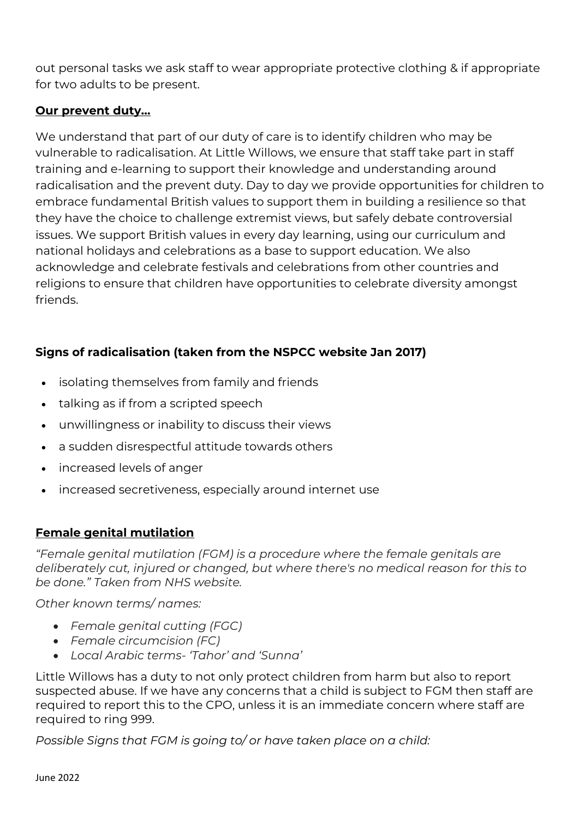out personal tasks we ask staff to wear appropriate protective clothing & if appropriate for two adults to be present.

### **Our prevent duty…**

We understand that part of our duty of care is to identify children who may be vulnerable to radicalisation. At Little Willows, we ensure that staff take part in staff training and e-learning to support their knowledge and understanding around radicalisation and the prevent duty. Day to day we provide opportunities for children to embrace fundamental British values to support them in building a resilience so that they have the choice to challenge extremist views, but safely debate controversial issues. We support British values in every day learning, using our curriculum and national holidays and celebrations as a base to support education. We also acknowledge and celebrate festivals and celebrations from other countries and religions to ensure that children have opportunities to celebrate diversity amongst friends.

# **Signs of radicalisation (taken from the NSPCC website Jan 2017)**

- isolating themselves from family and friends
- talking as if from a scripted speech
- unwillingness or inability to discuss their views
- a sudden disrespectful attitude towards others
- increased levels of anger
- increased secretiveness, especially around internet use

# **Female genital mutilation**

*"Female genital mutilation (FGM) is a procedure where the female genitals are deliberately cut, injured or changed, but where there's no medical reason for this to be done." Taken from NHS website.*

*Other known terms/ names:*

- *Female genital cutting (FGC)*
- *Female circumcision (FC)*
- *Local Arabic terms- 'Tahor' and 'Sunna'*

Little Willows has a duty to not only protect children from harm but also to report suspected abuse. If we have any concerns that a child is subject to FGM then staff are required to report this to the CPO, unless it is an immediate concern where staff are required to ring 999.

*Possible Signs that FGM is going to/ or have taken place on a child:*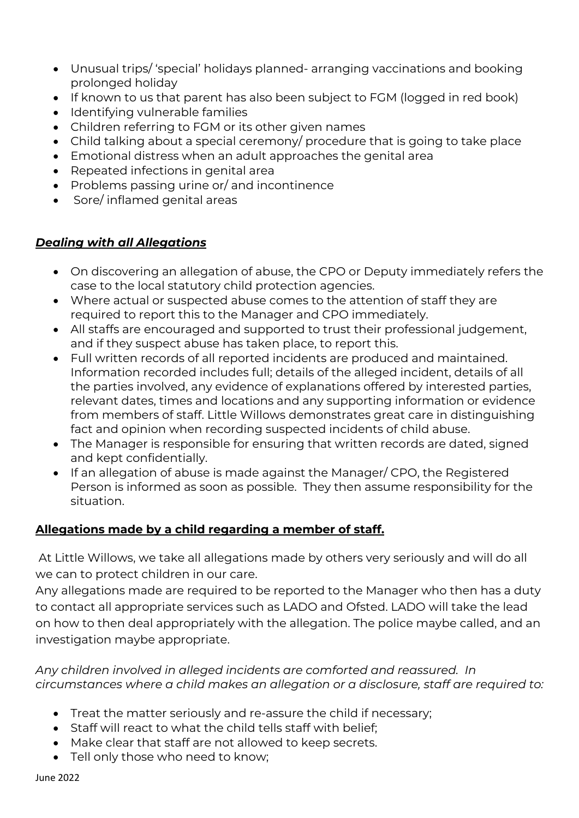- Unusual trips/ 'special' holidays planned- arranging vaccinations and booking prolonged holiday
- If known to us that parent has also been subject to FGM (logged in red book)
- Identifying vulnerable families
- Children referring to FGM or its other given names
- Child talking about a special ceremony/ procedure that is going to take place
- Emotional distress when an adult approaches the genital area
- Repeated infections in genital area
- Problems passing urine or/ and incontinence
- Sore/ inflamed genital areas

## *Dealing with all Allegations*

- On discovering an allegation of abuse, the CPO or Deputy immediately refers the case to the local statutory child protection agencies.
- Where actual or suspected abuse comes to the attention of staff they are required to report this to the Manager and CPO immediately.
- All staffs are encouraged and supported to trust their professional judgement, and if they suspect abuse has taken place, to report this.
- Full written records of all reported incidents are produced and maintained. Information recorded includes full; details of the alleged incident, details of all the parties involved, any evidence of explanations offered by interested parties, relevant dates, times and locations and any supporting information or evidence from members of staff. Little Willows demonstrates great care in distinguishing fact and opinion when recording suspected incidents of child abuse.
- The Manager is responsible for ensuring that written records are dated, signed and kept confidentially.
- If an allegation of abuse is made against the Manager/ CPO, the Registered Person is informed as soon as possible. They then assume responsibility for the situation.

# **Allegations made by a child regarding a member of staff.**

At Little Willows, we take all allegations made by others very seriously and will do all we can to protect children in our care.

Any allegations made are required to be reported to the Manager who then has a duty to contact all appropriate services such as LADO and Ofsted. LADO will take the lead on how to then deal appropriately with the allegation. The police maybe called, and an investigation maybe appropriate.

#### *Any children involved in alleged incidents are comforted and reassured. In circumstances where a child makes an allegation or a disclosure, staff are required to:*

- Treat the matter seriously and re-assure the child if necessary;
- Staff will react to what the child tells staff with belief;
- Make clear that staff are not allowed to keep secrets.
- Tell only those who need to know;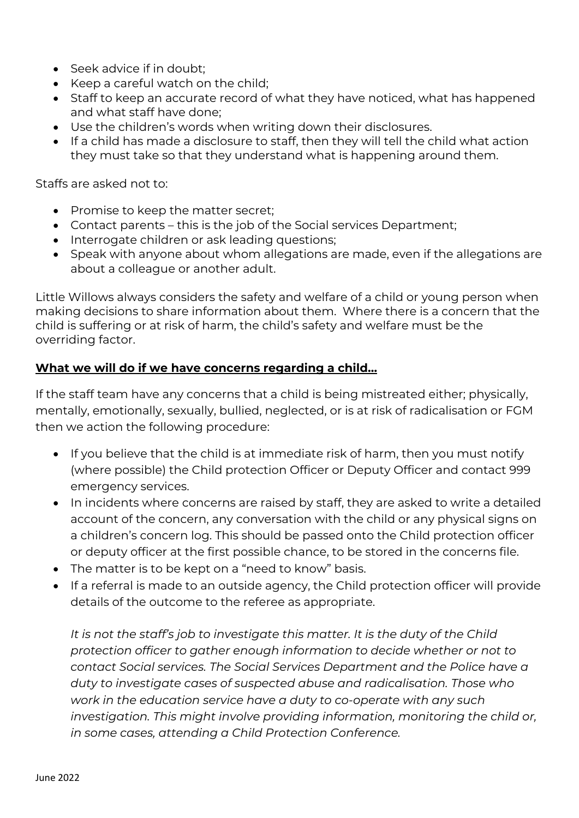- Seek advice if in doubt;
- Keep a careful watch on the child;
- Staff to keep an accurate record of what they have noticed, what has happened and what staff have done;
- Use the children's words when writing down their disclosures.
- If a child has made a disclosure to staff, then they will tell the child what action they must take so that they understand what is happening around them.

Staffs are asked not to:

- Promise to keep the matter secret;
- Contact parents this is the job of the Social services Department;
- Interrogate children or ask leading questions;
- Speak with anyone about whom allegations are made, even if the allegations are about a colleague or another adult.

Little Willows always considers the safety and welfare of a child or young person when making decisions to share information about them. Where there is a concern that the child is suffering or at risk of harm, the child's safety and welfare must be the overriding factor.

#### **What we will do if we have concerns regarding a child…**

If the staff team have any concerns that a child is being mistreated either; physically, mentally, emotionally, sexually, bullied, neglected, or is at risk of radicalisation or FGM then we action the following procedure:

- If you believe that the child is at immediate risk of harm, then you must notify (where possible) the Child protection Officer or Deputy Officer and contact 999 emergency services.
- In incidents where concerns are raised by staff, they are asked to write a detailed account of the concern, any conversation with the child or any physical signs on a children's concern log. This should be passed onto the Child protection officer or deputy officer at the first possible chance, to be stored in the concerns file.
- The matter is to be kept on a "need to know" basis.
- If a referral is made to an outside agency, the Child protection officer will provide details of the outcome to the referee as appropriate.

*It is not the staff's job to investigate this matter. It is the duty of the Child protection officer to gather enough information to decide whether or not to contact Social services. The Social Services Department and the Police have a duty to investigate cases of suspected abuse and radicalisation. Those who work in the education service have a duty to co-operate with any such*  investigation. This might involve providing information, monitoring the child or, *in some cases, attending a Child Protection Conference.*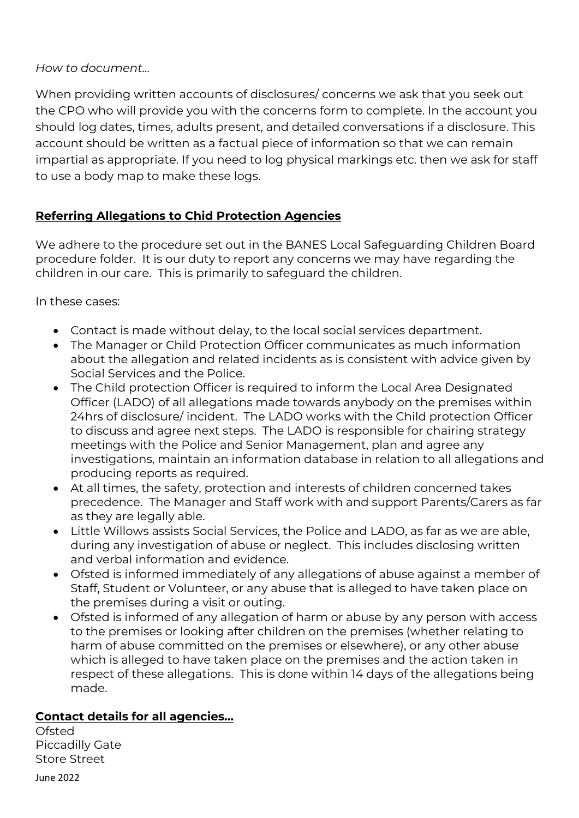#### *How to document…*

When providing written accounts of disclosures/ concerns we ask that you seek out the CPO who will provide you with the concerns form to complete. In the account you should log dates, times, adults present, and detailed conversations if a disclosure. This account should be written as a factual piece of information so that we can remain impartial as appropriate. If you need to log physical markings etc. then we ask for staff to use a body map to make these logs.

# **Referring Allegations to Chid Protection Agencies**

We adhere to the procedure set out in the BANES Local Safeguarding Children Board procedure folder. It is our duty to report any concerns we may have regarding the children in our care. This is primarily to safeguard the children.

In these cases:

- Contact is made without delay, to the local social services department.
- The Manager or Child Protection Officer communicates as much information about the allegation and related incidents as is consistent with advice given by Social Services and the Police.
- The Child protection Officer is required to inform the Local Area Designated Officer (LADO) of all allegations made towards anybody on the premises within 24hrs of disclosure/ incident. The LADO works with the Child protection Officer to discuss and agree next steps. The LADO is responsible for chairing strategy meetings with the Police and Senior Management, plan and agree any investigations, maintain an information database in relation to all allegations and producing reports as required.
- At all times, the safety, protection and interests of children concerned takes precedence. The Manager and Staff work with and support Parents/Carers as far as they are legally able.
- Little Willows assists Social Services, the Police and LADO, as far as we are able, during any investigation of abuse or neglect. This includes disclosing written and verbal information and evidence.
- Ofsted is informed immediately of any allegations of abuse against a member of Staff, Student or Volunteer, or any abuse that is alleged to have taken place on the premises during a visit or outing.
- Ofsted is informed of any allegation of harm or abuse by any person with access to the premises or looking after children on the premises (whether relating to harm of abuse committed on the premises or elsewhere), or any other abuse which is alleged to have taken place on the premises and the action taken in respect of these allegations. This is done within 14 days of the allegations being made.

### **Contact details for all agencies…**

Ofsted Piccadilly Gate Store Street

June 2022